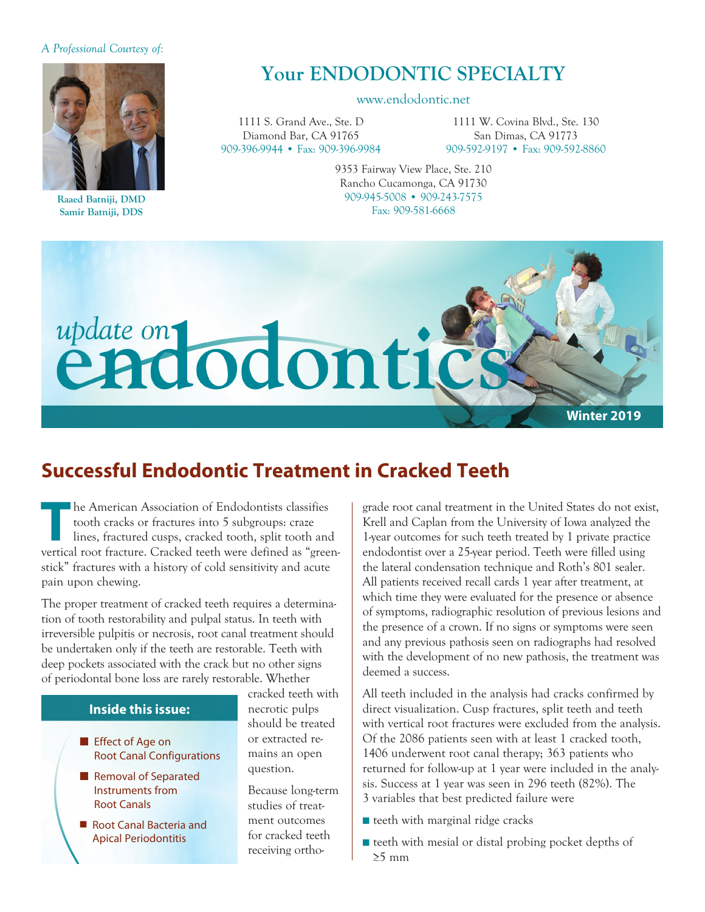#### *A Professional Courtesy of:*



**Raaed Batniji, DMD Samir Batniji, DDS**

# **Your ENDODONTIC SPECIALTY**

#### www.endodontic.net

1111 S. Grand Ave., Ste. D Diamond Bar, CA 91765 909-396-9944 • Fax: 909-396-9984

1111 W. Covina Blvd., Ste. 130 San Dimas, CA 91773 909-592-9197 • Fax: 909-592-8860

9353 Fairway View Place, Ste. 210 Rancho Cucamonga, CA 91730 909-945-5008 • 909-243-7575 Fax: 909-581-6668



## **Successful Endodontic Treatment in Cracked Teeth**

**The American Association of Endodontists classifies**<br>
tooth cracks or fractures into 5 subgroups: craze<br>
lines, fractured cusps, cracked tooth, split tooth and<br>
wortical post fracture. Cracked tooth were defined as "creap tooth cracks or fractures into 5 subgroups: craze vertical root fracture. Cracked teeth were defined as "greenstick" fractures with a history of cold sensitivity and acute pain upon chewing.

The proper treatment of cracked teeth requires a determination of tooth restorability and pulpal status. In teeth with irreversible pulpitis or necrosis, root canal treatment should be undertaken only if the teeth are restorable. Teeth with deep pockets associated with the crack but no other signs of periodontal bone loss are rarely restorable. Whether

#### **Inside this issue:**

- Effect of Age on Root Canal Configurations
- Removal of Separated Instruments from Root Canals
- Root Canal Bacteria and Apical Periodontitis

cracked teeth with necrotic pulps should be treated or extracted re mains an open question.

Because long-term studies of treatment outcomes for cracked teeth receiving orthograde root canal treatment in the United States do not exist, Krell and Caplan from the University of Iowa analyzed the 1-year outcomes for such teeth treated by 1 private practice endodontist over a 25-year period. Teeth were filled using the lateral condensation technique and Roth's 801 sealer. All patients received recall cards 1 year after treatment, at which time they were evaluated for the presence or absence of symptoms, radiographic resolution of previous lesions and the presence of a crown. If no signs or symptoms were seen and any previous pathosis seen on radiographs had resolved with the development of no new pathosis, the treatment was deemed a success.

All teeth included in the analysis had cracks confirmed by direct visualization. Cusp fractures, split teeth and teeth with vertical root fractures were excluded from the analysis. Of the 2086 patients seen with at least 1 cracked tooth, 1406 underwent root canal therapy; 363 patients who returned for follow-up at 1 year were included in the analysis. Success at 1 year was seen in 296 teeth (82%). The 3 variables that best predicted failure were

- teeth with marginal ridge cracks
- teeth with mesial or distal probing pocket depths of ≥5 mm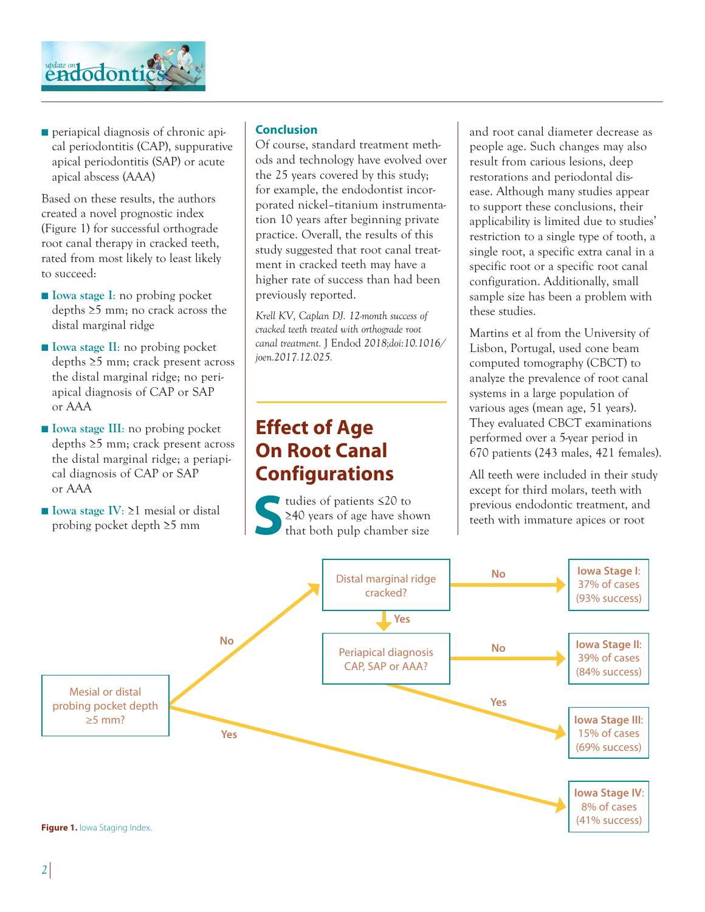

■ periapical diagnosis of chronic apical periodontitis (CAP), suppurative apical periodontitis (SAP) or acute apical abscess (AAA)

Based on these results, the authors created a novel prognostic index (Figure 1) for successful orthograde root canal therapy in cracked teeth, rated from most likely to least likely to succeed:

- **Iowa stage I**: no probing pocket depths ≥5 mm; no crack across the distal marginal ridge
- **Iowa stage II**: no probing pocket depths ≥5 mm; crack present across the distal marginal ridge; no periapical diagnosis of CAP or SAP or AAA
- **Iowa stage III**: no probing pocket depths ≥5 mm; crack present across the distal marginal ridge; a periapical diagnosis of CAP or SAP or AAA
- **Iowa stage IV:** 21 mesial or distal probing pocket depth ≥5 mm

### **Conclusion**

Of course, standard treatment methods and technology have evolved over the 25 years covered by this study; for example, the endodontist incorporated nickel–titanium instrumentation 10 years after beginning private practice. Overall, the results of this study suggested that root canal treatment in cracked teeth may have a higher rate of success than had been previously reported.

*Krell KV, Caplan DJ. 12-month success of cracked teeth treated with orthograde root canal treatment.* J Endod *2018;doi:10.1016/ joen.2017.12.025.*

## **Effect of Age On Root Canal Configurations**

tudies of patients ≤20 to<br>
≥40 years of age have sho<br>
that both pulp chamber s ≥40 years of age have shown that both pulp chamber size

and root canal diameter decrease as people age. Such changes may also result from carious lesions, deep restorations and periodontal disease. Although many studies appear to support these conclusions, their applicability is limited due to studies' restriction to a single type of tooth, a single root, a specific extra canal in a specific root or a specific root canal configuration. Additionally, small sample size has been a problem with these studies.

Martins et al from the University of Lisbon, Portugal, used cone beam computed tomography (CBCT) to analyze the prevalence of root canal systems in a large population of various ages (mean age, 51 years). They evaluated CBCT examinations performed over a 5-year period in 670 patients (243 males, 421 females).

All teeth were included in their study except for third molars, teeth with previous endodontic treatment, and teeth with immature apices or root

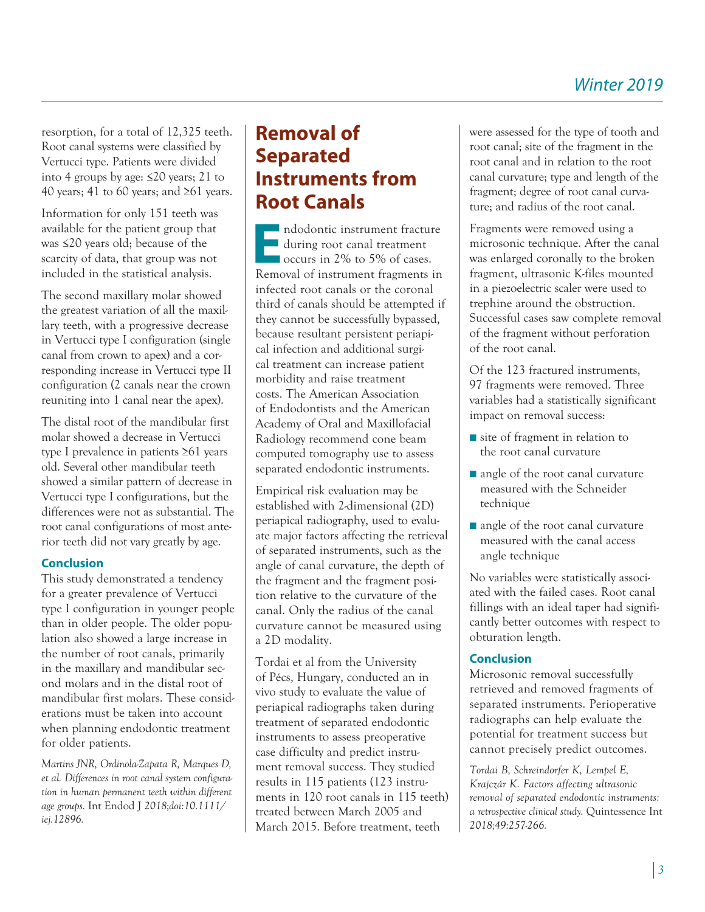resorption, for a total of 12,325 teeth. Root canal systems were classified by Vertucci type. Patients were divided into 4 groups by age: ≤20 years; 21 to 40 years; 41 to 60 years; and ≥61 years.

Information for only 151 teeth was available for the patient group that was ≤20 years old; because of the scarcity of data, that group was not included in the statistical analysis.

The second maxillary molar showed the greatest variation of all the maxillary teeth, with a progressive decrease in Vertucci type I configuration (single canal from crown to apex) and a corresponding increase in Vertucci type II configuration (2 canals near the crown reuniting into 1 canal near the apex).

The distal root of the mandibular first molar showed a decrease in Vertucci type I prevalence in patients ≥61 years old. Several other mandibular teeth showed a similar pattern of decrease in Vertucci type I configurations, but the differences were not as substantial. The root canal configurations of most anterior teeth did not vary greatly by age.

### **Conclusion**

This study demonstrated a tendency for a greater prevalence of Vertucci type I configuration in younger people than in older people. The older population also showed a large increase in the number of root canals, primarily in the maxillary and mandibular second molars and in the distal root of mandibular first molars. These considerations must be taken into account when planning endodontic treatment for older patients.

*Martins JNR, Ordinola-Zapata R, Marques D, et al. Differences in root canal system configuration in human permanent teeth within different age groups.* Int Endod J *2018;doi:10.1111/ iej.12896.*

## **Removal of Separated Instruments from Root Canals**

**E**ndodontic instrument fracture during root canal treatment ■ occurs in 2% to 5% of cases. Removal of instrument fragments in infected root canals or the coronal third of canals should be attempted if they cannot be successfully bypassed, because resultant persistent periapical infection and additional surgical treatment can increase patient morbidity and raise treatment costs. The American Association of Endodontists and the American Academy of Oral and Maxillofacial Radiology recommend cone beam computed tomography use to assess separated endodontic instruments.

Empirical risk evaluation may be established with 2-dimensional (2D) periapical radiography, used to evaluate major factors affecting the retrieval of separated instruments, such as the angle of canal curvature, the depth of the fragment and the fragment position relative to the curvature of the canal. Only the radius of the canal curvature cannot be measured using a 2D modality.

Tordai et al from the University of Pécs, Hungary, conducted an in vivo study to evaluate the value of periapical radiographs taken during treatment of separated endodontic instruments to assess preoperative case difficulty and predict instrument removal success. They studied results in 115 patients (123 instruments in 120 root canals in 115 teeth) treated between March 2005 and March 2015. Before treatment, teeth

were assessed for the type of tooth and root canal; site of the fragment in the root canal and in relation to the root canal curvature; type and length of the fragment; degree of root canal curvature; and radius of the root canal.

Fragments were removed using a microsonic technique. After the canal was enlarged coronally to the broken fragment, ultrasonic K-files mounted in a piezoelectric scaler were used to trephine around the obstruction. Successful cases saw complete removal of the fragment without perforation of the root canal.

Of the 123 fractured instruments, 97 fragments were removed. Three variables had a statistically significant impact on removal success:

- site of fragment in relation to the root canal curvature
- angle of the root canal curvature measured with the Schneider technique
- angle of the root canal curvature measured with the canal access angle technique

No variables were statistically associated with the failed cases. Root canal fillings with an ideal taper had significantly better outcomes with respect to obturation length.

#### **Conclusion**

Microsonic removal successfully retrieved and removed fragments of separated instruments. Perioperative radiographs can help evaluate the potential for treatment success but cannot precisely predict outcomes.

*Tordai B, Schreindorfer K, Lempel E, Krajczár K. Factors affecting ultrasonic removal of separated endodontic instruments: a retrospective clinical study.* Quintessence Int *2018;49:257-266.*